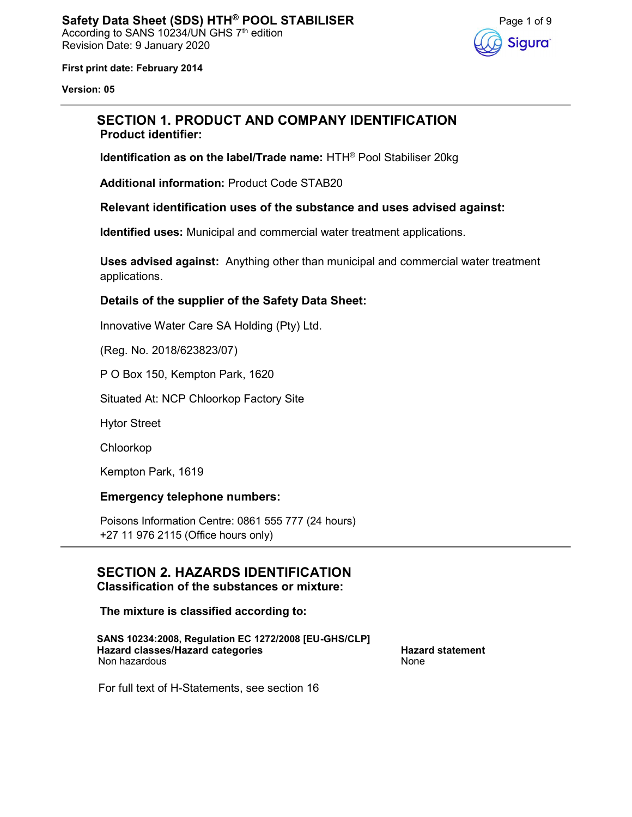

First print date: February 2014

Version: 05

# SECTION 1. PRODUCT AND COMPANY IDENTIFICATION Product identifier:

Identification as on the label/Trade name: HTH® Pool Stabiliser 20kg

Additional information: Product Code STAB20

#### Relevant identification uses of the substance and uses advised against:

Identified uses: Municipal and commercial water treatment applications.

Uses advised against: Anything other than municipal and commercial water treatment applications.

## Details of the supplier of the Safety Data Sheet:

Innovative Water Care SA Holding (Pty) Ltd.

(Reg. No. 2018/623823/07)

P O Box 150, Kempton Park, 1620

Situated At: NCP Chloorkop Factory Site

Hytor Street

Chloorkop

Kempton Park, 1619

## Emergency telephone numbers:

Poisons Information Centre: 0861 555 777 (24 hours) +27 11 976 2115 (Office hours only)

#### SECTION 2. HAZARDS IDENTIFICATION Classification of the substances or mixture:

The mixture is classified according to:

SANS 10234:2008, Regulation EC 1272/2008 [EU-GHS/CLP] Hazard classes/Hazard categories **Hazard statement** Hazard statement Non hazardous None

For full text of H-Statements, see section 16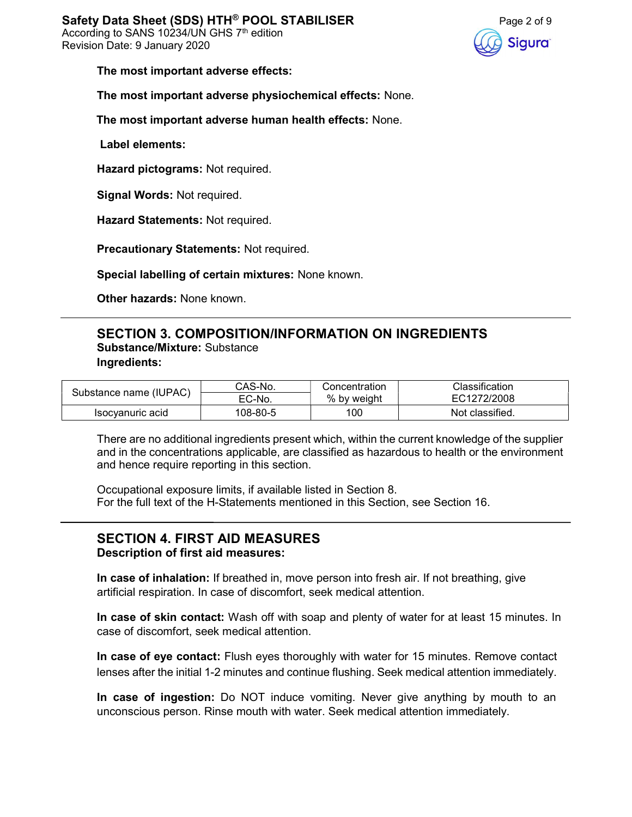

The most important adverse effects:

The most important adverse physiochemical effects: None.

The most important adverse human health effects: None.

Label elements:

Hazard pictograms: Not required.

Signal Words: Not required.

Hazard Statements: Not required.

Precautionary Statements: Not required.

Special labelling of certain mixtures: None known.

Other hazards: None known.

# SECTION 3. COMPOSITION/INFORMATION ON INGREDIENTS Substance/Mixture: Substance Ingredients:

| Substance name (IUPAC) | CAS-No.  | Concentration | Classification  |
|------------------------|----------|---------------|-----------------|
|                        | EC-No.   | % by weight   | EC1272/2008     |
| Isocvanuric acid       | 108-80-5 | 100           | Not classified. |

There are no additional ingredients present which, within the current knowledge of the supplier and in the concentrations applicable, are classified as hazardous to health or the environment and hence require reporting in this section.

Occupational exposure limits, if available listed in Section 8. For the full text of the H-Statements mentioned in this Section, see Section 16.

#### SECTION 4. FIRST AID MEASURES Description of first aid measures:

In case of inhalation: If breathed in, move person into fresh air. If not breathing, give artificial respiration. In case of discomfort, seek medical attention.

In case of skin contact: Wash off with soap and plenty of water for at least 15 minutes. In case of discomfort, seek medical attention.

In case of eye contact: Flush eyes thoroughly with water for 15 minutes. Remove contact lenses after the initial 1-2 minutes and continue flushing. Seek medical attention immediately.

In case of ingestion: Do NOT induce vomiting. Never give anything by mouth to an unconscious person. Rinse mouth with water. Seek medical attention immediately.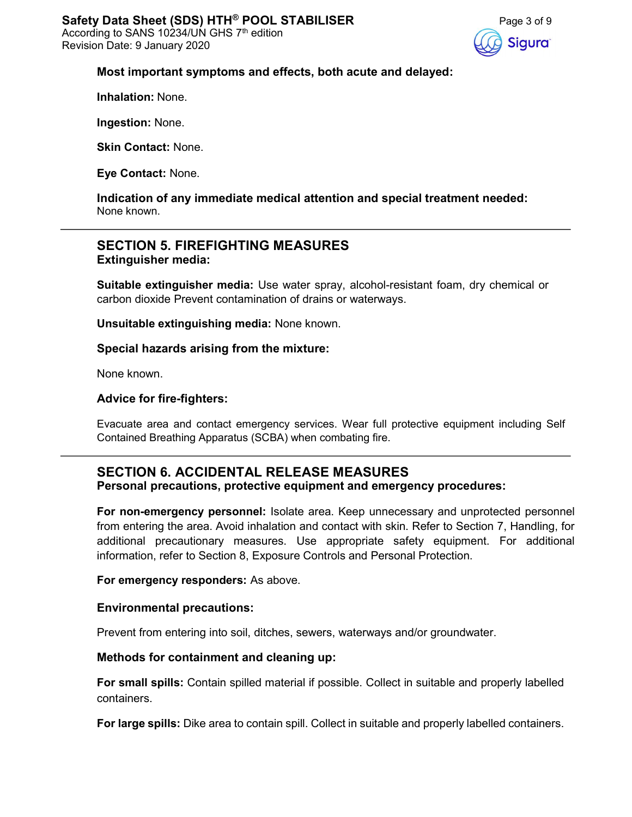

## Most important symptoms and effects, both acute and delayed:

Inhalation: None.

Ingestion: None.

Skin Contact: None.

Eye Contact: None.

Indication of any immediate medical attention and special treatment needed: None known.

# SECTION 5. FIREFIGHTING MEASURES Extinguisher media:

Suitable extinguisher media: Use water spray, alcohol-resistant foam, dry chemical or carbon dioxide Prevent contamination of drains or waterways.

Unsuitable extinguishing media: None known.

Special hazards arising from the mixture:

None known.

## Advice for fire-fighters:

Evacuate area and contact emergency services. Wear full protective equipment including Self Contained Breathing Apparatus (SCBA) when combating fire.

## SECTION 6. ACCIDENTAL RELEASE MEASURES Personal precautions, protective equipment and emergency procedures:

For non-emergency personnel: Isolate area. Keep unnecessary and unprotected personnel from entering the area. Avoid inhalation and contact with skin. Refer to Section 7, Handling, for additional precautionary measures. Use appropriate safety equipment. For additional information, refer to Section 8, Exposure Controls and Personal Protection.

#### For emergency responders: As above.

#### Environmental precautions:

Prevent from entering into soil, ditches, sewers, waterways and/or groundwater.

#### Methods for containment and cleaning up:

For small spills: Contain spilled material if possible. Collect in suitable and properly labelled containers.

For large spills: Dike area to contain spill. Collect in suitable and properly labelled containers.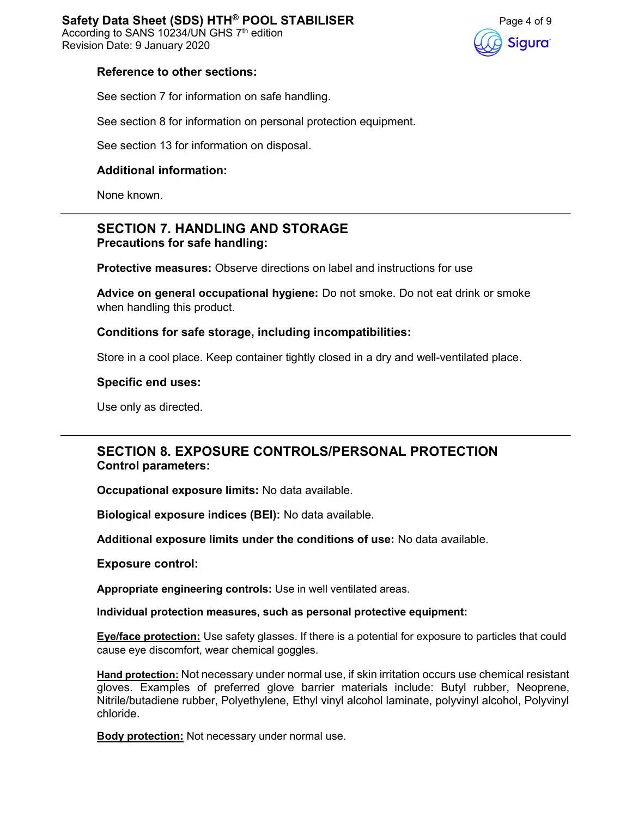According to SANS 10234/UN GHS 7<sup>th</sup> edition Revision Date: 9 January 2020



#### Reference to other sections:

See section 7 for information on safe handling.

See section 8 for information on personal protection equipment.

See section 13 for information on disposal.

## Additional information:

None known.

## SECTION 7. HANDLING AND STORAGE Precautions for safe handling:

Protective measures: Observe directions on label and instructions for use

Advice on general occupational hygiene: Do not smoke. Do not eat drink or smoke when handling this product.

Conditions for safe storage, including incompatibilities:

Store in a cool place. Keep container tightly closed in a dry and well-ventilated place.

#### Specific end uses:

Use only as directed.

# SECTION 8. EXPOSURE CONTROLS/PERSONAL PROTECTION Control parameters:

Occupational exposure limits: No data available.

Biological exposure indices (BEI): No data available.

Additional exposure limits under the conditions of use: No data available.

Exposure control:

Appropriate engineering controls: Use in well ventilated areas.

Individual protection measures, such as personal protective equipment:

Eye/face protection: Use safety glasses. If there is a potential for exposure to particles that could cause eye discomfort, wear chemical goggles.

Hand protection: Not necessary under normal use, if skin irritation occurs use chemical resistant gloves. Examples of preferred glove barrier materials include: Butyl rubber, Neoprene, Nitrile/butadiene rubber, Polyethylene, Ethyl vinyl alcohol laminate, polyvinyl alcohol, Polyvinyl chloride.

**Body protection:** Not necessary under normal use.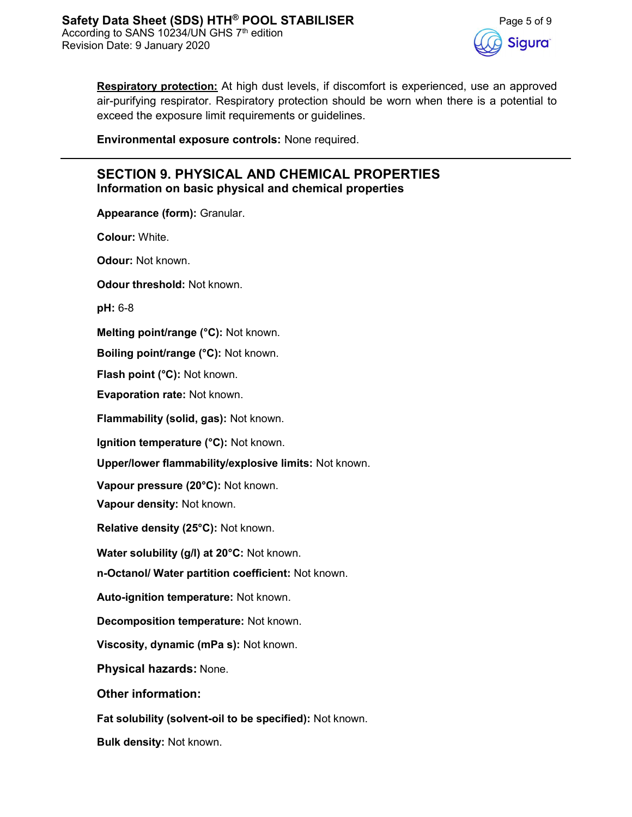

Respiratory protection: At high dust levels, if discomfort is experienced, use an approved air-purifying respirator. Respiratory protection should be worn when there is a potential to exceed the exposure limit requirements or guidelines.

Environmental exposure controls: None required.

# SECTION 9. PHYSICAL AND CHEMICAL PROPERTIES Information on basic physical and chemical properties

Appearance (form): Granular.

Colour: White.

Odour: Not known.

Odour threshold: Not known.

pH: 6-8

Melting point/range (°C): Not known.

Boiling point/range (°C): Not known.

Flash point (°C): Not known.

Evaporation rate: Not known.

Flammability (solid, gas): Not known.

Ignition temperature (°C): Not known.

Upper/lower flammability/explosive limits: Not known.

Vapour pressure (20°C): Not known.

Vapour density: Not known.

Relative density (25°C): Not known.

Water solubility (g/l) at 20°C: Not known.

n-Octanol/ Water partition coefficient: Not known.

Auto-ignition temperature: Not known.

Decomposition temperature: Not known.

Viscosity, dynamic (mPa s): Not known.

Physical hazards: None.

Other information:

Fat solubility (solvent-oil to be specified): Not known.

Bulk density: Not known.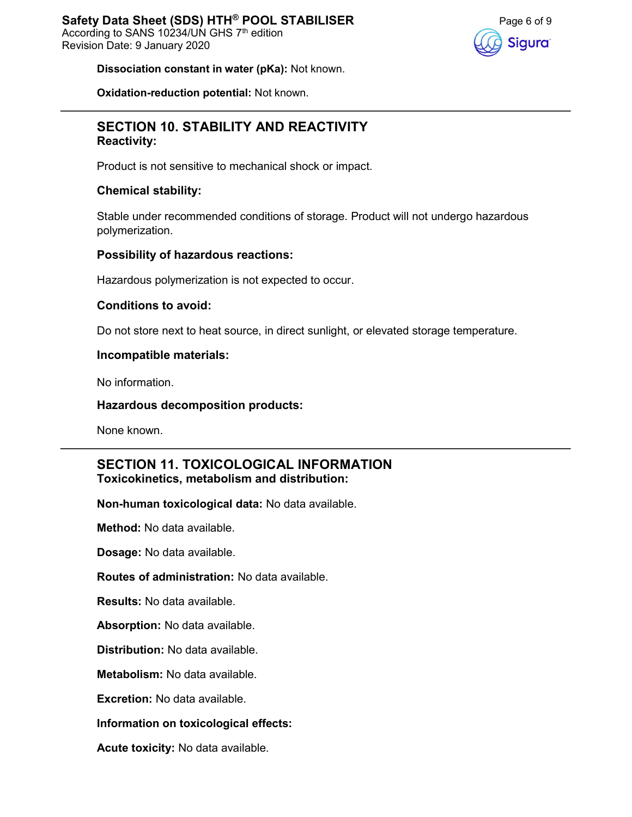

Dissociation constant in water (pKa): Not known.

Oxidation-reduction potential: Not known.

# SECTION 10. STABILITY AND REACTIVITY Reactivity:

Product is not sensitive to mechanical shock or impact.

## Chemical stability:

Stable under recommended conditions of storage. Product will not undergo hazardous polymerization.

## Possibility of hazardous reactions:

Hazardous polymerization is not expected to occur.

## Conditions to avoid:

Do not store next to heat source, in direct sunlight, or elevated storage temperature.

## Incompatible materials:

No information.

## Hazardous decomposition products:

None known.

## SECTION 11. TOXICOLOGICAL INFORMATION Toxicokinetics, metabolism and distribution:

Non-human toxicological data: No data available.

Method: No data available.

Dosage: No data available.

Routes of administration: No data available.

Results: No data available.

Absorption: No data available.

Distribution: No data available.

Metabolism: No data available.

Excretion: No data available.

## Information on toxicological effects:

Acute toxicity: No data available.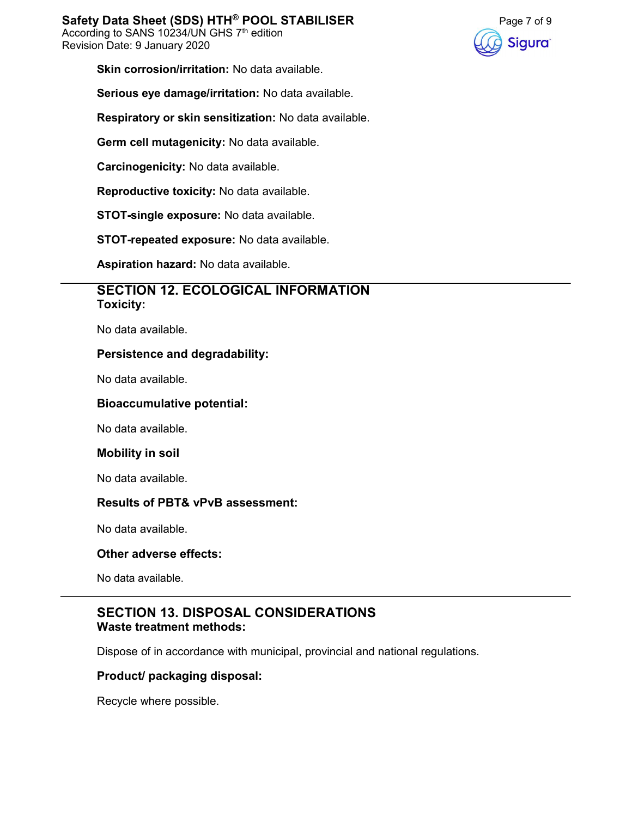

Skin corrosion/irritation: No data available.

Serious eye damage/irritation: No data available.

Respiratory or skin sensitization: No data available.

Germ cell mutagenicity: No data available.

Carcinogenicity: No data available.

Reproductive toxicity: No data available.

STOT-single exposure: No data available.

STOT-repeated exposure: No data available.

Aspiration hazard: No data available.

## SECTION 12. ECOLOGICAL INFORMATION Toxicity:

No data available.

## Persistence and degradability:

No data available.

#### Bioaccumulative potential:

No data available.

#### Mobility in soil

No data available.

## Results of PBT& vPvB assessment:

No data available.

#### Other adverse effects:

No data available.

## SECTION 13. DISPOSAL CONSIDERATIONS Waste treatment methods:

Dispose of in accordance with municipal, provincial and national regulations.

## Product/ packaging disposal:

Recycle where possible.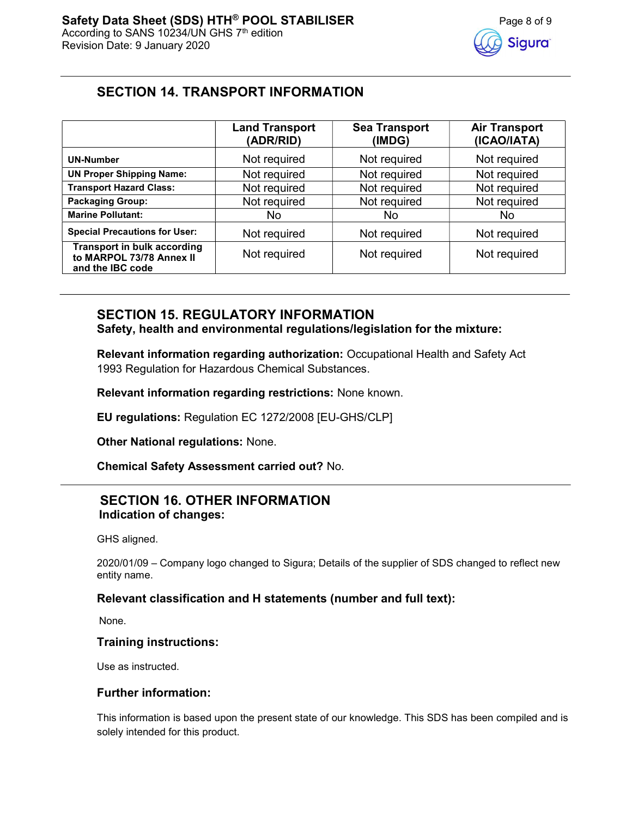# SECTION 14. TRANSPORT INFORMATION

|                                                                                    | <b>Land Transport</b><br>(ADR/RID) | <b>Sea Transport</b><br>(IMDG) | <b>Air Transport</b><br>(ICAO/IATA) |
|------------------------------------------------------------------------------------|------------------------------------|--------------------------------|-------------------------------------|
| <b>UN-Number</b>                                                                   | Not required                       | Not required                   | Not required                        |
| <b>UN Proper Shipping Name:</b>                                                    | Not required                       | Not required                   | Not required                        |
| <b>Transport Hazard Class:</b>                                                     | Not required                       | Not required                   | Not required                        |
| <b>Packaging Group:</b>                                                            | Not required                       | Not required                   | Not required                        |
| <b>Marine Pollutant:</b>                                                           | No.                                | No                             | No                                  |
| <b>Special Precautions for User:</b>                                               | Not required                       | Not required                   | Not required                        |
| <b>Transport in bulk according</b><br>to MARPOL 73/78 Annex II<br>and the IBC code | Not required                       | Not required                   | Not required                        |

# SECTION 15. REGULATORY INFORMATION

Safety, health and environmental regulations/legislation for the mixture:

Relevant information regarding authorization: Occupational Health and Safety Act 1993 Regulation for Hazardous Chemical Substances.

Relevant information regarding restrictions: None known.

EU regulations: Regulation EC 1272/2008 [EU-GHS/CLP]

Other National regulations: None.

Chemical Safety Assessment carried out? No.

# SECTION 16. OTHER INFORMATION Indication of changes:

GHS aligned.

2020/01/09 – Company logo changed to Sigura; Details of the supplier of SDS changed to reflect new entity name.

## Relevant classification and H statements (number and full text):

None.

## Training instructions:

Use as instructed.

## Further information:

This information is based upon the present state of our knowledge. This SDS has been compiled and is solely intended for this product.